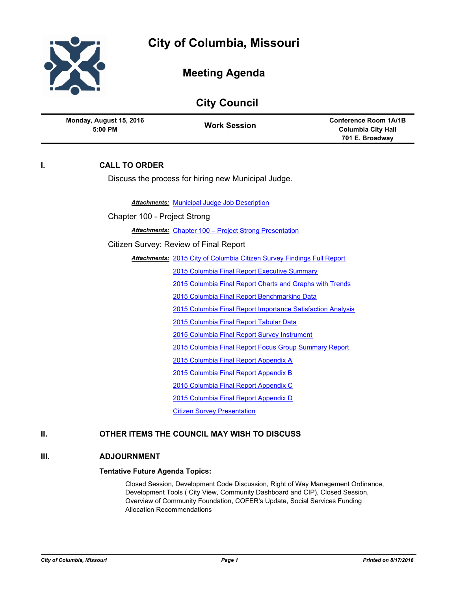

|                         | <b>City Council</b> |                              |
|-------------------------|---------------------|------------------------------|
| Monday, August 15, 2016 | <b>Work Session</b> | <b>Conference Room 1A/1B</b> |
| 5:00 PM                 |                     | <b>Columbia City Hall</b>    |

## **I. CALL TO ORDER**

Discuss the process for hiring new Municipal Judge.

*Attachments:* [Municipal Judge Job Description](http://gocolumbiamo.legistar.com/gateway.aspx?M=F&ID=078cfaae-f4d1-422b-8033-fa2b646f6f93.pdf)

Chapter 100 - Project Strong

*Attachments:* [Chapter 100 – Project Strong Presentation](http://gocolumbiamo.legistar.com/gateway.aspx?M=F&ID=b4e8a7eb-c6da-48b0-9a23-f5fccebb5b60.pdf)

Citizen Survey: Review of Final Report

Attachments: [2015 City of Columbia Citizen Survey Findings Full Report](http://gocolumbiamo.legistar.com/gateway.aspx?M=F&ID=1e9c1345-4b31-4002-9623-71441e52d3e7.pdf)

[2015 Columbia Final Report Executive Summary](http://gocolumbiamo.legistar.com/gateway.aspx?M=F&ID=7bb6a009-2357-4fce-9ac7-5fdc1304ab68.pdf)

[2015 Columbia Final Report Charts and Graphs with Trends](http://gocolumbiamo.legistar.com/gateway.aspx?M=F&ID=c08a17dc-f3d0-4106-bcf5-533e3c3217a6.pdf)

[2015 Columbia Final Report Benchmarking Data](http://gocolumbiamo.legistar.com/gateway.aspx?M=F&ID=c1d3d2e0-c5d2-4573-81ae-3da7e7d1303b.pdf)

[2015 Columbia Final Report Importance Satisfaction Analysis](http://gocolumbiamo.legistar.com/gateway.aspx?M=F&ID=7ebe491a-6c94-4f92-8b64-dcffa6b38f5b.pdf)

[2015 Columbia Final Report Tabular Data](http://gocolumbiamo.legistar.com/gateway.aspx?M=F&ID=13bf38b4-63cb-447a-b33a-3e7f14e80df7.pdf)

[2015 Columbia Final Report Survey Instrument](http://gocolumbiamo.legistar.com/gateway.aspx?M=F&ID=9b537b34-092e-43a0-9ee4-733ff1e61d3b.pdf)

[2015 Columbia Final Report Focus Group Summary Report](http://gocolumbiamo.legistar.com/gateway.aspx?M=F&ID=1d199462-fc7b-489e-aade-5449a46bc9d9.pdf)

[2015 Columbia Final Report Appendix A](http://gocolumbiamo.legistar.com/gateway.aspx?M=F&ID=fa96f248-837c-441e-9ecc-a84f88a496ab.pdf)

[2015 Columbia Final Report Appendix B](http://gocolumbiamo.legistar.com/gateway.aspx?M=F&ID=ab3a7a7b-419d-4d2d-9747-07f9c080fcef.pdf)

[2015 Columbia Final Report Appendix C](http://gocolumbiamo.legistar.com/gateway.aspx?M=F&ID=bec9d0f1-9a5e-44ce-98e8-d942d40a3708.pdf)

[2015 Columbia Final Report Appendix D](http://gocolumbiamo.legistar.com/gateway.aspx?M=F&ID=6f308384-3079-4548-b455-38085853245b.pdf)

[Citizen Survey Presentation](http://gocolumbiamo.legistar.com/gateway.aspx?M=F&ID=6a159335-cb30-4b69-80cc-e12b9aaceef0.pdf)

## **II. OTHER ITEMS THE COUNCIL MAY WISH TO DISCUSS**

## **III. ADJOURNMENT**

## **Tentative Future Agenda Topics:**

Closed Session, Development Code Discussion, Right of Way Management Ordinance, Development Tools ( City View, Community Dashboard and CIP), Closed Session, Overview of Community Foundation, COFER's Update, Social Services Funding Allocation Recommendations

**701 E. Broadway**